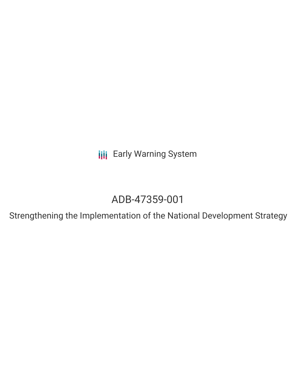**III** Early Warning System

# ADB-47359-001

Strengthening the Implementation of the National Development Strategy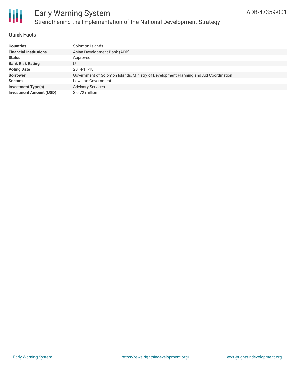

### Early Warning System Strengthening the Implementation of the National Development Strategy

### **Quick Facts**

| Countries                      | Solomon Islands                                                                      |
|--------------------------------|--------------------------------------------------------------------------------------|
| <b>Financial Institutions</b>  | Asian Development Bank (ADB)                                                         |
| Status                         | Approved                                                                             |
| <b>Bank Risk Rating</b>        | U                                                                                    |
| <b>Voting Date</b>             | 2014-11-18                                                                           |
| <b>Borrower</b>                | Government of Solomon Islands, Ministry of Development Planning and Aid Coordination |
| Sectors                        | Law and Government                                                                   |
| <b>Investment Type(s)</b>      | <b>Advisory Services</b>                                                             |
| <b>Investment Amount (USD)</b> | \$ 0.72 million                                                                      |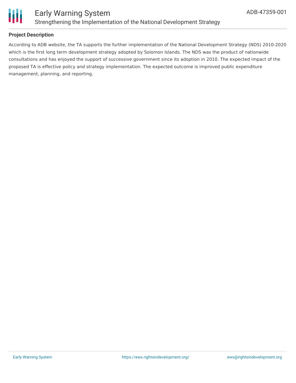

### **Project Description**

According to ADB website, the TA supports the further implementation of the National Development Strategy (NDS) 2010-2020 which is the first long term development strategy adopted by Solomon Islands. The NDS was the product of nationwide consultations and has enjoyed the support of successive government since its adoption in 2010. The expected impact of the proposed TA is effective policy and strategy implementation. The expected outcome is improved public expenditure management, planning, and reporting.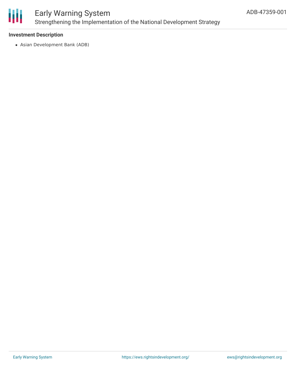

### Early Warning System Strengthening the Implementation of the National Development Strategy

### **Investment Description**

Asian Development Bank (ADB)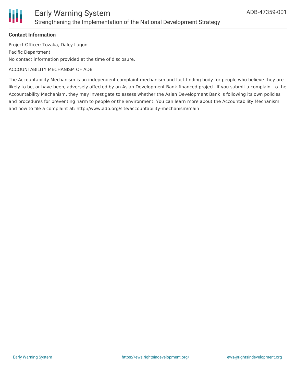

### Early Warning System Strengthening the Implementation of the National Development Strategy

#### **Contact Information**

Project Officer: Tozaka, Dalcy Lagoni Pacific Department No contact information provided at the time of disclosure.

#### ACCOUNTABILITY MECHANISM OF ADB

The Accountability Mechanism is an independent complaint mechanism and fact-finding body for people who believe they are likely to be, or have been, adversely affected by an Asian Development Bank-financed project. If you submit a complaint to the Accountability Mechanism, they may investigate to assess whether the Asian Development Bank is following its own policies and procedures for preventing harm to people or the environment. You can learn more about the Accountability Mechanism and how to file a complaint at: http://www.adb.org/site/accountability-mechanism/main